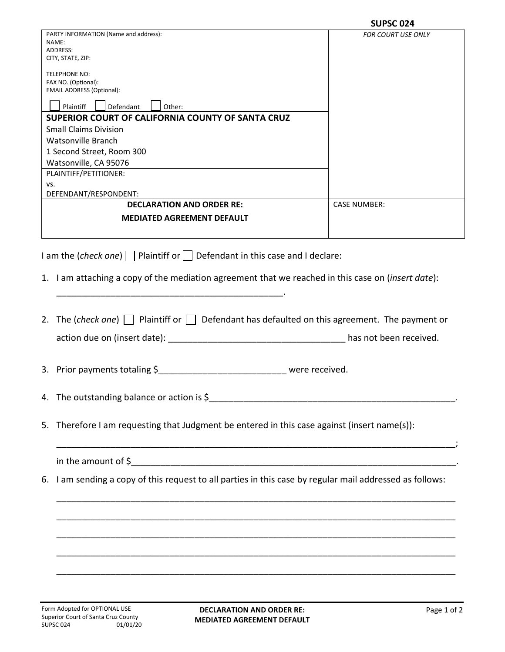|                                                                                                                                                                                                                                                                         | SUPSC 024                 |
|-------------------------------------------------------------------------------------------------------------------------------------------------------------------------------------------------------------------------------------------------------------------------|---------------------------|
| PARTY INFORMATION (Name and address):<br>NAME:<br>ADDRESS:<br>CITY, STATE, ZIP:                                                                                                                                                                                         | <b>FOR COURT USE ONLY</b> |
| TELEPHONE NO:<br>FAX NO. (Optional):<br><b>EMAIL ADDRESS (Optional):</b>                                                                                                                                                                                                |                           |
| Plaintiff<br>Defendant<br>Other:                                                                                                                                                                                                                                        |                           |
| SUPERIOR COURT OF CALIFORNIA COUNTY OF SANTA CRUZ                                                                                                                                                                                                                       |                           |
| <b>Small Claims Division</b><br><b>Watsonville Branch</b>                                                                                                                                                                                                               |                           |
| 1 Second Street, Room 300                                                                                                                                                                                                                                               |                           |
| Watsonville, CA 95076                                                                                                                                                                                                                                                   |                           |
| PLAINTIFF/PETITIONER:<br>VS.                                                                                                                                                                                                                                            |                           |
| DEFENDANT/RESPONDENT:                                                                                                                                                                                                                                                   |                           |
| <b>DECLARATION AND ORDER RE:</b>                                                                                                                                                                                                                                        | <b>CASE NUMBER:</b>       |
| <b>MEDIATED AGREEMENT DEFAULT</b>                                                                                                                                                                                                                                       |                           |
| 1. I am attaching a copy of the mediation agreement that we reached in this case on (insert date):<br>2. The (check one) $\Box$ Plaintiff or $\vert\,\,\vert$ Defendant has defaulted on this agreement. The payment or<br>3. Prior payments totaling \$ were received. | has not been received.    |
|                                                                                                                                                                                                                                                                         |                           |
|                                                                                                                                                                                                                                                                         |                           |
| 5. Therefore I am requesting that Judgment be entered in this case against (insert name(s)):                                                                                                                                                                            |                           |
|                                                                                                                                                                                                                                                                         |                           |
| 6. I am sending a copy of this request to all parties in this case by regular mail addressed as follows:                                                                                                                                                                |                           |
|                                                                                                                                                                                                                                                                         |                           |
|                                                                                                                                                                                                                                                                         |                           |
|                                                                                                                                                                                                                                                                         |                           |
|                                                                                                                                                                                                                                                                         |                           |
|                                                                                                                                                                                                                                                                         |                           |